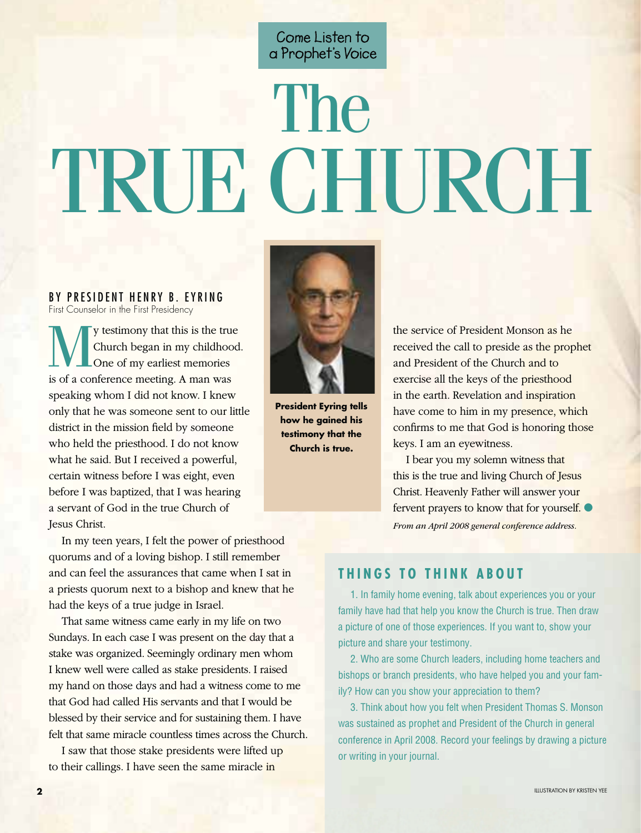Come Listen to a Prophet's Voice

## The TRUE CHURCH

 BY PRESIDENT HENRY B. EYRING First Counselor in the First Presidency

**My** testimony that this is the true<br>Church began in my childhood<br>One of my earliest memories<br>is of a conference meeting A man was Church began in my childhood. One of my earliest memories is of a conference meeting. A man was speaking whom I did not know. I knew only that he was someone sent to our little district in the mission field by someone who held the priesthood. I do not know what he said. But I received a powerful, certain witness before I was eight, even before I was baptized, that I was hearing a servant of God in the true Church of Jesus Christ.

In my teen years, I felt the power of priesthood quorums and of a loving bishop. I still remember and can feel the assurances that came when I sat in a priests quorum next to a bishop and knew that he had the keys of a true judge in Israel.

That same witness came early in my life on two Sundays. In each case I was present on the day that a stake was organized. Seemingly ordinary men whom I knew well were called as stake presidents. I raised my hand on those days and had a witness come to me that God had called His servants and that I would be blessed by their service and for sustaining them. I have felt that same miracle countless times across the Church.

I saw that those stake presidents were lifted up to their callings. I have seen the same miracle in



**President Eyring tells how he gained his testimony that the Church is true.**

the service of President Monson as he received the call to preside as the prophet and President of the Church and to exercise all the keys of the priesthood in the earth. Revelation and inspiration have come to him in my presence, which confirms to me that God is honoring those keys. I am an eyewitness.

I bear you my solemn witness that this is the true and living Church of Jesus Christ. Heavenly Father will answer your fervent prayers to know that for yourself.  $\bullet$ *From an April 2008 general conference address.*

## **THINGS TO THINK ABOUT**

 1. In family home evening, talk about experiences you or your family have had that help you know the Church is true. Then draw a picture of one of those experiences. If you want to, show your picture and share your testimony.

 2. Who are some Church leaders, including home teachers and bishops or branch presidents, who have helped you and your family? How can you show your appreciation to them?

 3. Think about how you felt when President Thomas S. Monson was sustained as prophet and President of the Church in general conference in April 2008. Record your feelings by drawing a picture or writing in your journal.